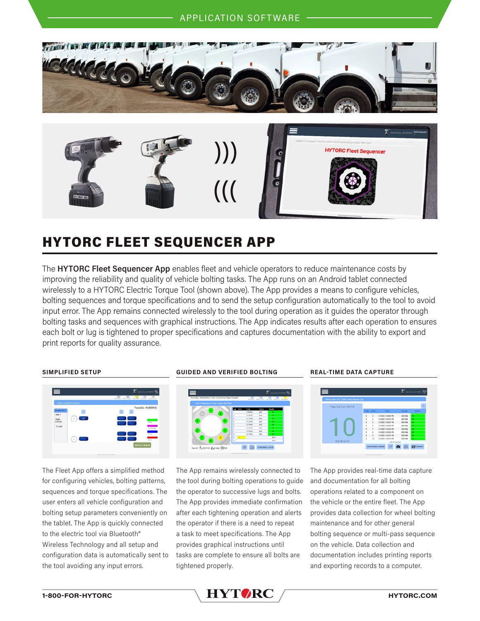

 $\mathcal{U}(\mathcal{C})$ 

# HYTORC FLEET SEQUENCER APP

The **HYTORC Fleet Sequencer App** enables fleet and vehicle operators to reduce maintenance costs by improving the reliability and quality of vehicle bolting tasks. The App runs on an Android tablet connected wirelessly to a HYTORC Electric Torque Tool (shown above). The App provides a means to configure vehicles, bolting sequences and torque specifications and to send the setup configuration automatically to the tool to avoid input error. The App remains connected wirelessly to the tool during operation as it guides the operator through bolting tasks and sequences with graphical instructions. The App indicates results after each operation to ensures each bolt or lug is tightened to proper specifications and captures documentation with the ability to export and print reports for quality assurance.



The Fleet App offers a simplified method for configuring vehicles, bolting patterns, sequences and torque specifications. The user enters all vehicle configuration and bolting setup parameters conveniently on the tablet. The App is quickly connected to the electric tool via Bluetooth® Wireless Technology and all setup and configuration data is automatically sent to the tool avoiding any input errors.

# **SIMPLIFIED SETUP GUIDED AND VERIFIED BOLTING REAL-TIME DATA CAPTURE**



The App remains wirelessly connected to the tool during bolting operations to guide the operator to successive lugs and bolts. The App provides immediate confirmation after each tightening operation and alerts the operator if there is a need to repeat a task to meet specifications. The App provides graphical instructions until tasks are complete to ensure all bolts are tightened properly.



The App provides real-time data capture and documentation for all bolting operations related to a component on the vehicle or the entire fleet. The App provides data collection for wheel bolting maintenance and for other general bolting sequence or multi-pass sequence on the vehicle. Data collection and documentation includes printing reports and exporting records to a computer.